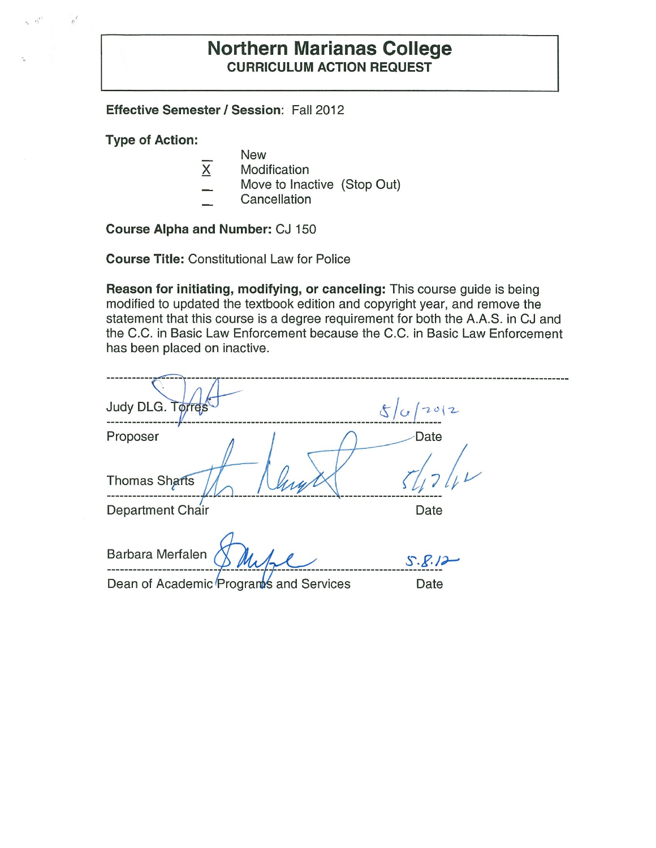# **Northern Marianas College CURRICULUM ACTION REQUEST**

**Effective Semester/ Session:** Fall 2012

**Type of Action:** 

 $n^{\ell}$ 

 $\left\vert x\right\vert ^{(I)}$ 

- New
- $X$  Modification
- Move to Inactive (Stop Out)
- Cancellation

**Course Alpha and Number:** CJ 150

**Course Title:** Constitutional Law for Police

**Reason for initiating, modifying, or canceling:** This course guide is being modified to updated the textbook edition and copyright year, and remove the statement that this course is a degree requirement for both the A.A.S. in CJ and the C.C. in Basic Law Enforcement because the C.C. in Basic Law Enforcement has been placed on inactive.

| Judy DLG. Torres                                            | 70 2           |
|-------------------------------------------------------------|----------------|
| Proposer                                                    | Date           |
| <b>Thomas Sharts</b>                                        |                |
| Department Chair                                            | Date           |
| Barbara Merfalen<br>Dean of Academic Program's and Services | S.8.12<br>Date |
|                                                             |                |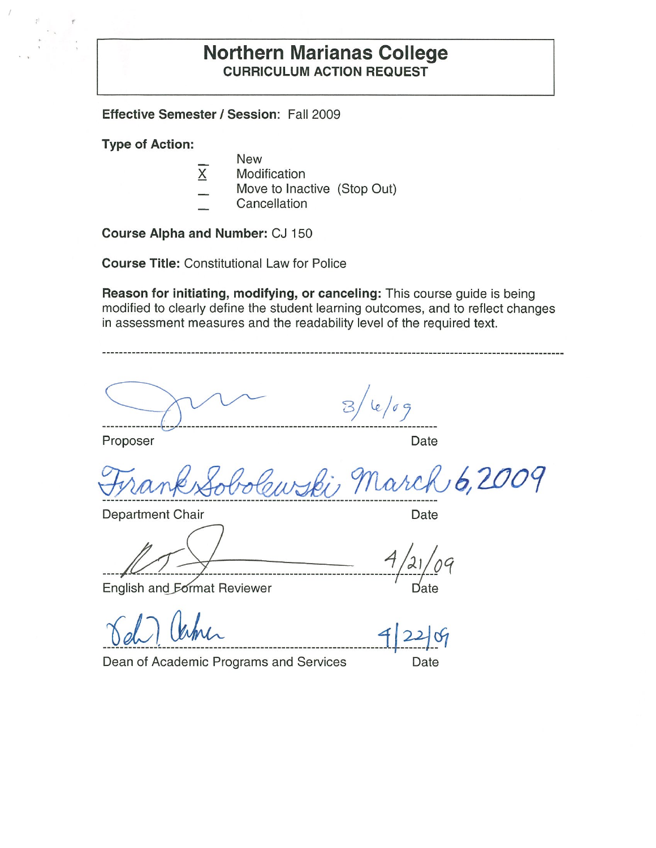# **Northern Marianas College CURRICULUM ACTION REQUEST**

**Effective Semester/ Session:** Fall 2009

**Type of Action:** 

- New
- X Modification
- Move to Inactive (Stop Out)
- **Cancellation**

**Course Alpha and Number:** CJ 150

**Course Title:** Constitutional Law for Police

**Reason for initiating, modifying, or canceling:** This course guide is being modified to clearly define the student learning outcomes, and to reflect changes in assessment measures and the readability level of the required text.

 $\frac{1}{2}$ 

Proposer Date

March 6,200

Department Chair **Department** Chair

**English and Format Reviewer** *Allemance**Legislate**Legislate**Legislate**Legislate**Legislate**Legislate**Legislate**Legislate**Legislate**Legislate**Legislate**Legislate**Legislate**Legislate**Legislate* 

 $6d$ ) Unher  $4|22|9$ 

 $Umm1 = 4|22|69$ 

Dean of Academic Programs and Services Date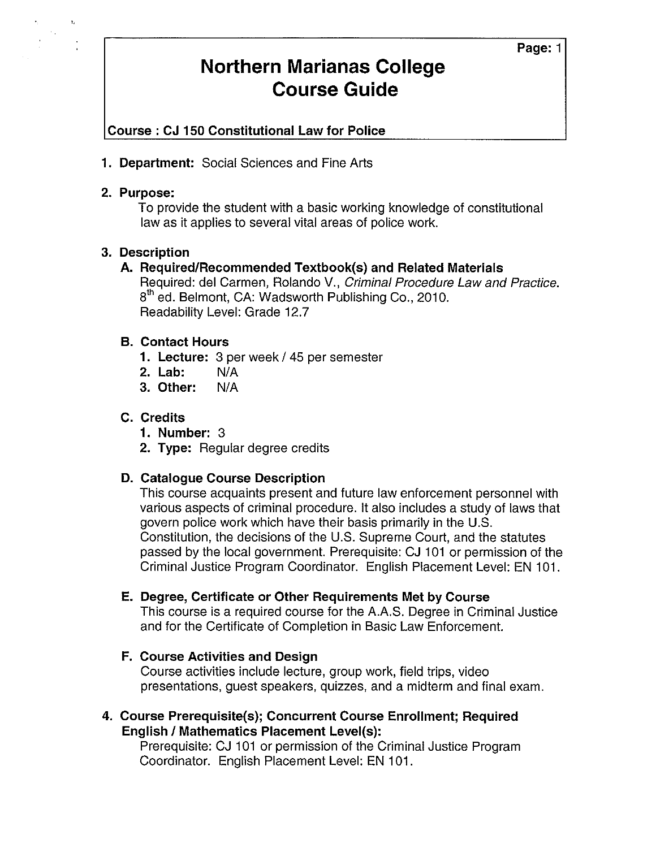### **Course : CJ 150 Constitutional Law for Police**

**1. Department:** Social Sciences and Fine Arts

#### **2. Purpose:**

To provide the student with a basic working knowledge of constitutional law as it applies to several vital areas of police work.

### **3. Description**

#### **A. Required/Recommended Textbook(s) and Related Materials**

Required: del Carmen, Rolando V., Criminal Procedure Law and Practice. 8<sup>th</sup> ed. Belmont, CA: Wadsworth Publishing Co., 2010. Readability Level: Grade 12.7

#### **B. Contact Hours**

- **1. Lecture:** 3 per week/ 45 per semester
- **2. Lab:** N/A
- **3. Other:** N/A

### **C. Credits**

- **1. Number:** 3
- **2. Type:** Regular degree credits

### **D. Catalogue Course Description**

This course acquaints present and future law enforcement personnel with various aspects of criminal procedure. It also includes a study of laws that govern police work which have their basis primarily in the U.S. Constitution, the decisions of the U.S. Supreme Court, and the statutes passed by the local government. Prerequisite: CJ 101 or permission of the Criminal Justice Program Coordinator. English Placement Level: EN 101.

#### **E. Degree, Certificate or Other Requirements Met by Course**

This course is a required course for the A.A.S. Degree in Criminal Justice and for the Certificate of Completion in Basic Law Enforcement.

### **F. Course Activities and Design**

Course activities include lecture, group work, field trips, video presentations, guest speakers, quizzes, and a midterm and final exam.

### **4. Course Prerequisite(s); Concurrent Course Enrollment; Required English/ Mathematics Placement Level(s):**

Prerequisite: CJ 101 or permission of the Criminal Justice Program Coordinator. English Placement Level: EN 101.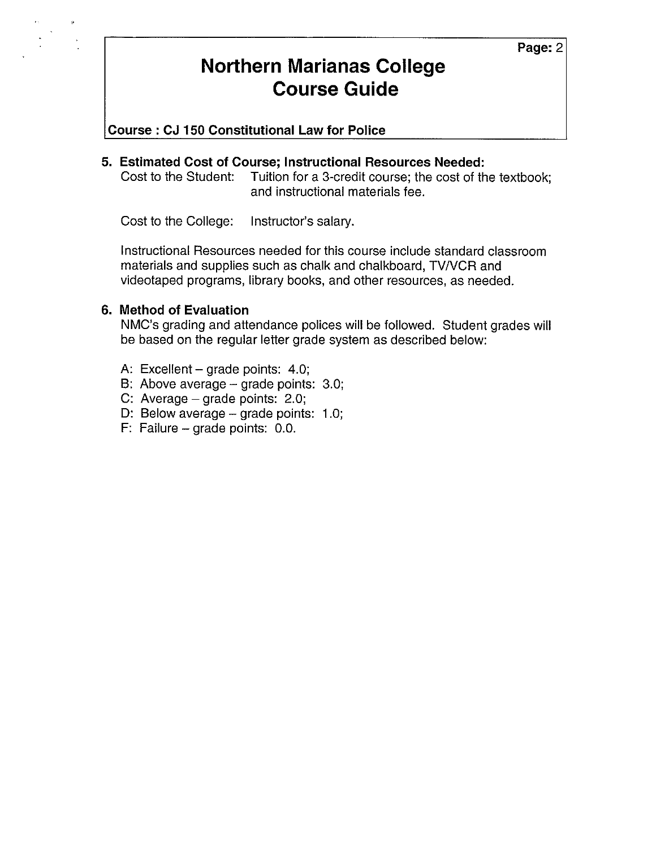#### **Course : CJ 150 Constitutional Law for Police**

#### **5. Estimated Cost of Course; Instructional Resources Needed:**  Cost to the Student: Tuition for a 3-credit course; the cost of the textbook; and instructional materials fee.

Cost to the College: Instructor's salary.

Instructional Resources needed for this course include standard classroom materials and supplies such as chalk and chalkboard, TV/VCR and videotaped programs, library books, and other resources, as needed.

### **6. Method of Evaluation**

NMC's grading and attendance polices will be followed. Student grades will be based on the regular letter grade system as described below:

- A: Excellent grade points: 4.0;
- B: Above average grade points: 3.0;
- C: Average  $-$  grade points: 2.0;
- D: Below average  $-$  grade points: 1.0;
- F: Failure grade points: 0.0.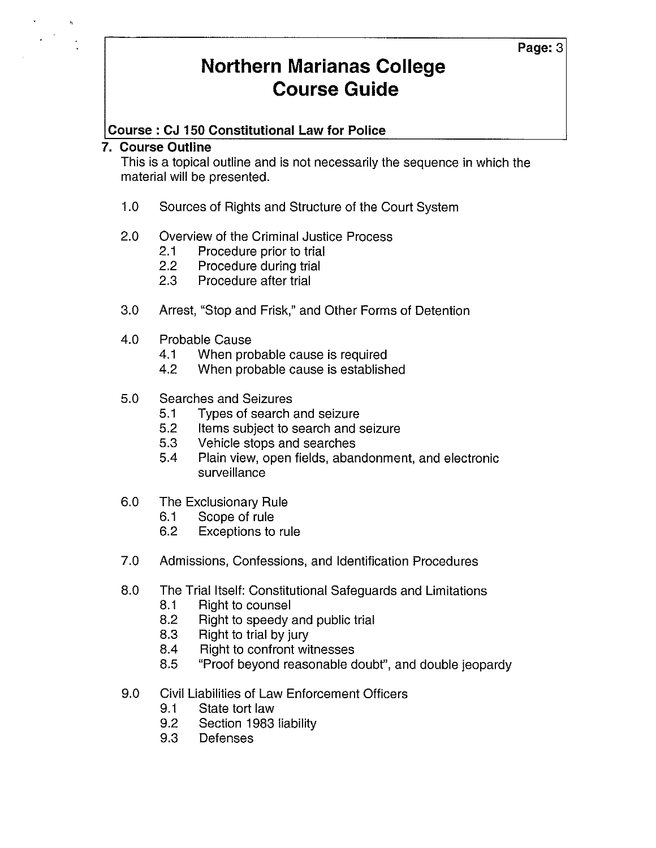## **Course : CJ 150 Constitutional Law for Police**

#### **7. Course Outline**

This is a topical outline and is not necessarily the sequence in which the material will be presented.

1.0 Sources of Rights and Structure of the Court System

### 2.0 Overview of the Criminal Justice Process

- 2.1 Procedure prior to trial
- 2.2 Procedure during trial
- 2.3 Procedure after trial
- 3.0 Arrest, "Stop and Frisk," and Other Forms of Detention
- 4.0 Probable Cause
	- 4.1 When probable cause is required
	- 4.2 When probable cause is established
- 5.0 Searches and Seizures
	- 5.1 Types of search and seizure
	- 5.2 Items subject to search and seizure
	- 5.3 Vehicle stops and searches
	- 5.4 Plain view, open fields, abandonment, and electronic surveillance
- 6.0 The Exclusionary Rule
	- 6.1 Scope of rule
	- 6.2 Exceptions to rule
- 7.0 Admissions, Confessions, and Identification Procedures
- 8.0 The Trial Itself: Constitutional Safeguards and Limitations
	- 8.1 Right to counsel
	- 8.2 Right to speedy and public trial
	- 8.3 Right to trial by jury
	- 8.4 Right to confront witnesses
	- 8.5 "Proof beyond reasonable doubt'', and double jeopardy
- 9.0 Civil Liabilities of Law Enforcement Officers
	- 9.1 State tort law
	- 9.2 Section 1983 liability
	- 9.3 Defenses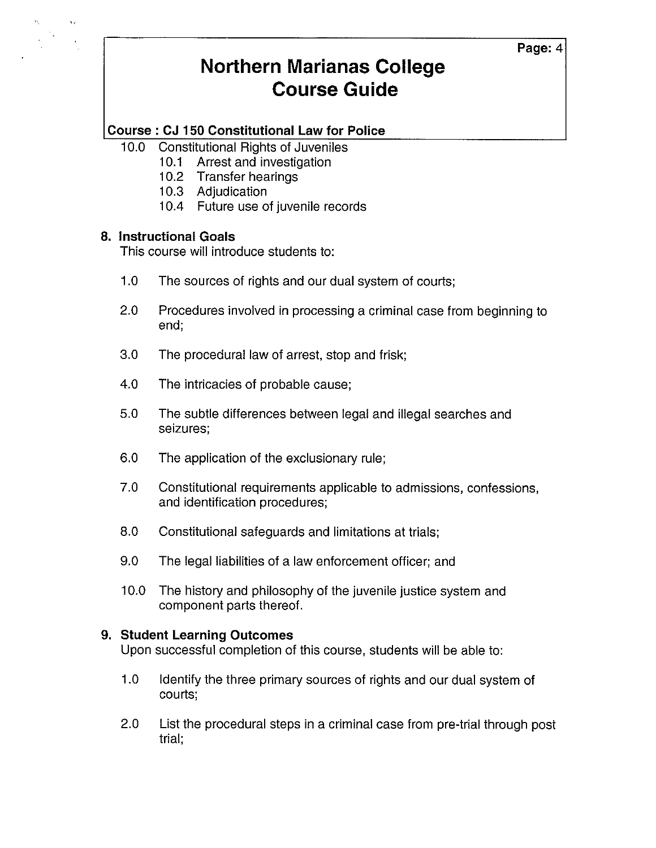#### **Page:4**

# **Northern Marianas College Course Guide**

## **Course : CJ 150 Constitutional Law for Police**

### 10.0 Constitutional Rights of Juveniles

- 10.1 Arrest and investigation
- 10.2 Transfer hearings
- 10.3 Adjudication
- 10.4 Future use of juvenile records

## **8. Instructional Goals**

This course will introduce students to:

- 1.0 The sources of rights and our dual system of courts;
- 2.0 Procedures involved in processing a criminal case from beginning to end;
- 3.0 The procedural law of arrest, stop and frisk;
- 4.0 The intricacies of probable cause;
- 5.0 The subtle differences between legal and illegal searches and seizures;
- 6.0 The application of the exclusionary rule;
- 7.0 Constitutional requirements applicable to admissions, confessions, and identification procedures;
- 8.0 Constitutional safeguards and limitations at trials;
- 9.0 The legal liabilities of a law enforcement officer; and
- 10.0 The history and philosophy of the juvenile justice system and component parts thereof.

### **9. Student Learning Outcomes**

Upon successful completion of this course, students will be able to:

- 1.0 Identify the three primary sources of rights and our dual system of courts;
- 2.0 List the procedural steps in a criminal case from pre-trial through post trial;